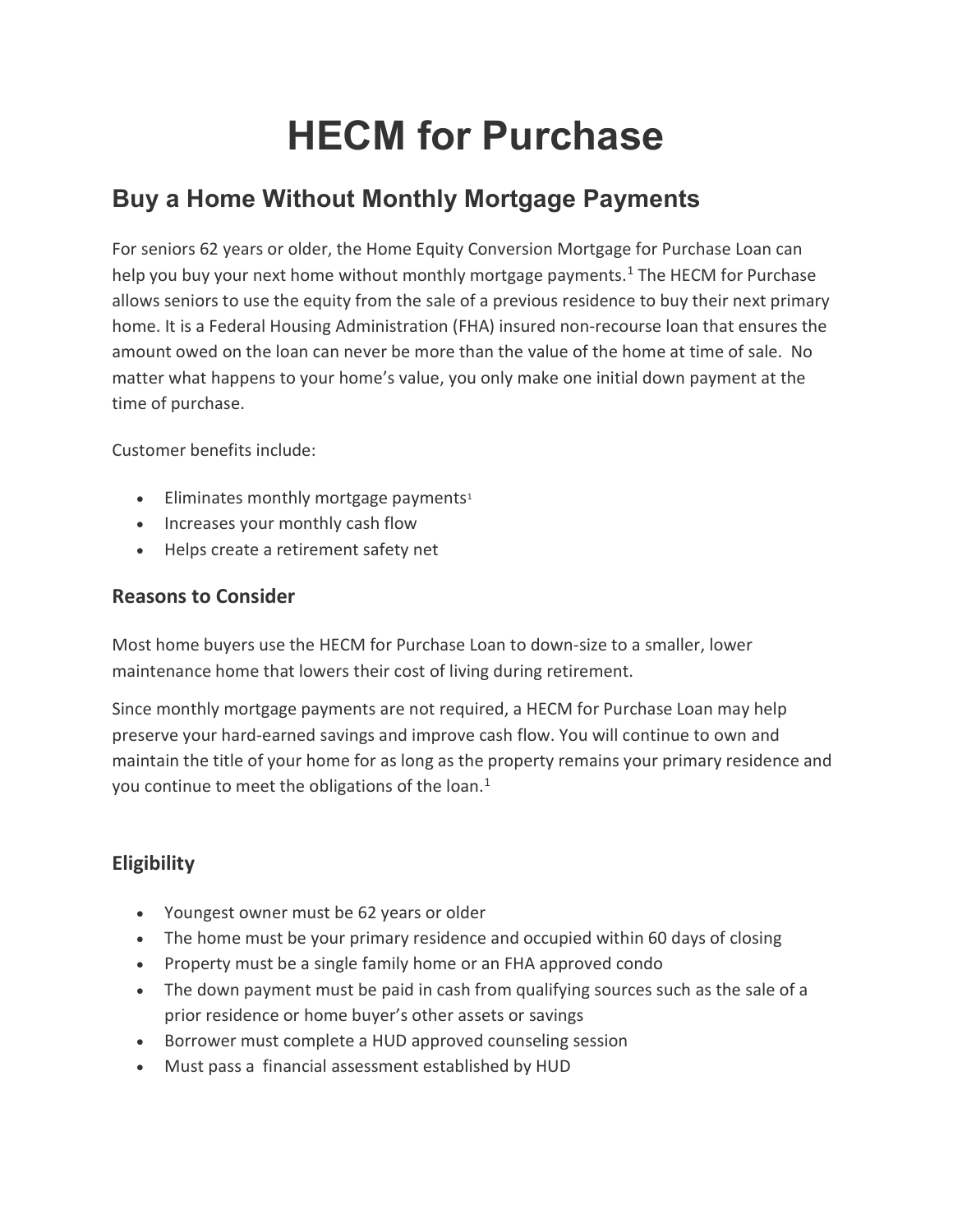# HECM for Purchase

# Buy a Home Without Monthly Mortgage Payments

For seniors 62 years or older, the Home Equity Conversion Mortgage for Purchase Loan can help you buy your next home without monthly mortgage payments.<sup>1</sup> The HECM for Purchase allows seniors to use the equity from the sale of a previous residence to buy their next primary home. It is a Federal Housing Administration (FHA) insured non-recourse loan that ensures the amount owed on the loan can never be more than the value of the home at time of sale. No matter what happens to your home's value, you only make one initial down payment at the time of purchase.

Customer benefits include:

- $\bullet$  Eliminates monthly mortgage payments<sup>1</sup>
- Increases your monthly cash flow
- Helps create a retirement safety net

#### Reasons to Consider

Most home buyers use the HECM for Purchase Loan to down-size to a smaller, lower maintenance home that lowers their cost of living during retirement.

Since monthly mortgage payments are not required, a HECM for Purchase Loan may help preserve your hard-earned savings and improve cash flow. You will continue to own and maintain the title of your home for as long as the property remains your primary residence and you continue to meet the obligations of the loan.<sup>1</sup>

## **Eligibility**

- Youngest owner must be 62 years or older
- The home must be your primary residence and occupied within 60 days of closing
- Property must be a single family home or an FHA approved condo
- The down payment must be paid in cash from qualifying sources such as the sale of a prior residence or home buyer's other assets or savings
- Borrower must complete a HUD approved counseling session
- Must pass a financial assessment established by HUD